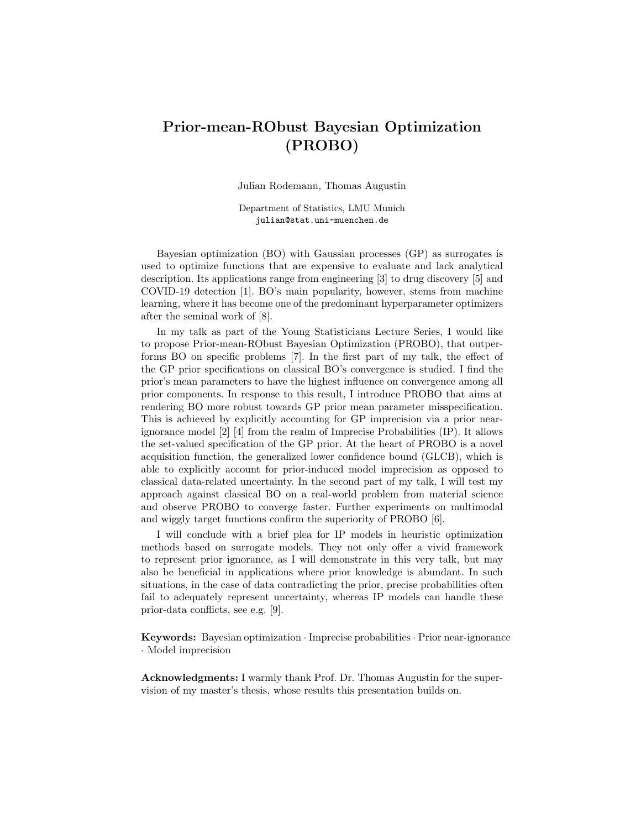## Prior-mean-RObust Bayesian Optimization (PROBO)

Julian Rodemann, Thomas Augustin

Department of Statistics, LMU Munich julian@stat.uni-muenchen.de

Bayesian optimization (BO) with Gaussian processes (GP) as surrogates is used to optimize functions that are expensive to evaluate and lack analytical description. Its applications range from engineering [3] to drug discovery [5] and COVID-19 detection [1]. BO's main popularity, however, stems from machine learning, where it has become one of the predominant hyperparameter optimizers after the seminal work of [8].

In my talk as part of the Young Statisticians Lecture Series, I would like to propose Prior-mean-RObust Bayesian Optimization (PROBO), that outperforms BO on specific problems [7]. In the first part of my talk, the effect of the GP prior specifications on classical BO's convergence is studied. I find the prior's mean parameters to have the highest influence on convergence among all prior components. In response to this result, I introduce PROBO that aims at rendering BO more robust towards GP prior mean parameter misspecification. This is achieved by explicitly accounting for GP imprecision via a prior nearignorance model [2] [4] from the realm of Imprecise Probabilities (IP). It allows the set-valued specification of the GP prior. At the heart of PROBO is a novel acquisition function, the generalized lower confidence bound (GLCB), which is able to explicitly account for prior-induced model imprecision as opposed to classical data-related uncertainty. In the second part of my talk, I will test my approach against classical BO on a real-world problem from material science and observe PROBO to converge faster. Further experiments on multimodal and wiggly target functions confirm the superiority of PROBO [6].

I will conclude with a brief plea for IP models in heuristic optimization methods based on surrogate models. They not only offer a vivid framework to represent prior ignorance, as I will demonstrate in this very talk, but may also be beneficial in applications where prior knowledge is abundant. In such situations, in the case of data contradicting the prior, precise probabilities often fail to adequately represent uncertainty, whereas IP models can handle these prior-data conflicts, see e.g. [9].

Keywords: Bayesian optimization · Imprecise probabilities · Prior near-ignorance · Model imprecision

Acknowledgments: I warmly thank Prof. Dr. Thomas Augustin for the supervision of my master's thesis, whose results this presentation builds on.